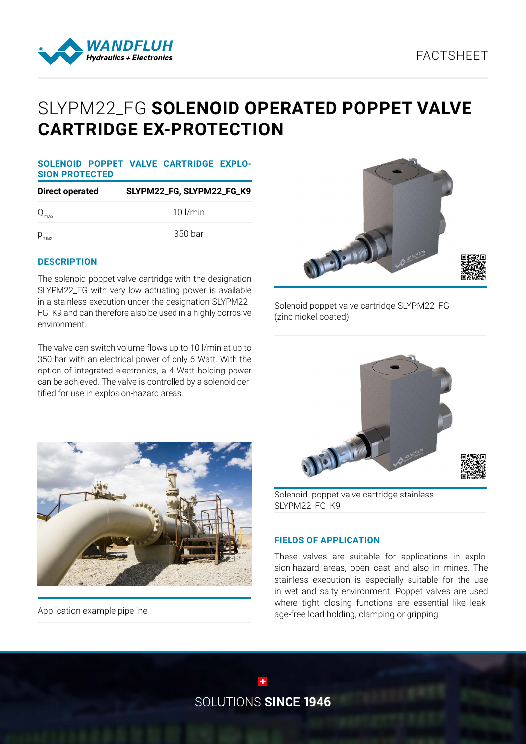

# SLYPM22\_FG **SOLENOID OPERATED POPPET VALVE CARTRIDGE EX-PROTECTION**

#### **SOLENOID POPPET VALVE CARTRIDGE EXPLO-SION PROTECTED**

| <b>Direct operated</b> | SLYPM22_FG, SLYPM22_FG_K9 |
|------------------------|---------------------------|
| $Q_{\text{max}}$       | $10$ $l/min$              |
| $P_{\text{max}}$       | 350 bar                   |

## **DESCRIPTION**

The solenoid poppet valve cartridge with the designation SLYPM22\_FG with very low actuating power is available in a stainless execution under the designation SLYPM22\_ FG\_K9 and can therefore also be used in a highly corrosive environment.

The valve can switch volume flows up to 10 l/min at up to 350 bar with an electrical power of only 6 Watt. With the option of integrated electronics, a 4 Watt holding power can be achieved. The valve is controlled by a solenoid certified for use in explosion-hazard areas.



Solenoid poppet valve cartridge SLYPM22\_FG (zinc-nickel coated)





Application example pipeline

Solenoid poppet valve cartridge stainless SLYPM22\_FG\_K9

## **FIELDS OF APPLICATION**

These valves are suitable for applications in explosion-hazard areas, open cast and also in mines. The stainless execution is especially suitable for the use in wet and salty environment. Poppet valves are used where tight closing functions are essential like leakage-free load holding, clamping or gripping.